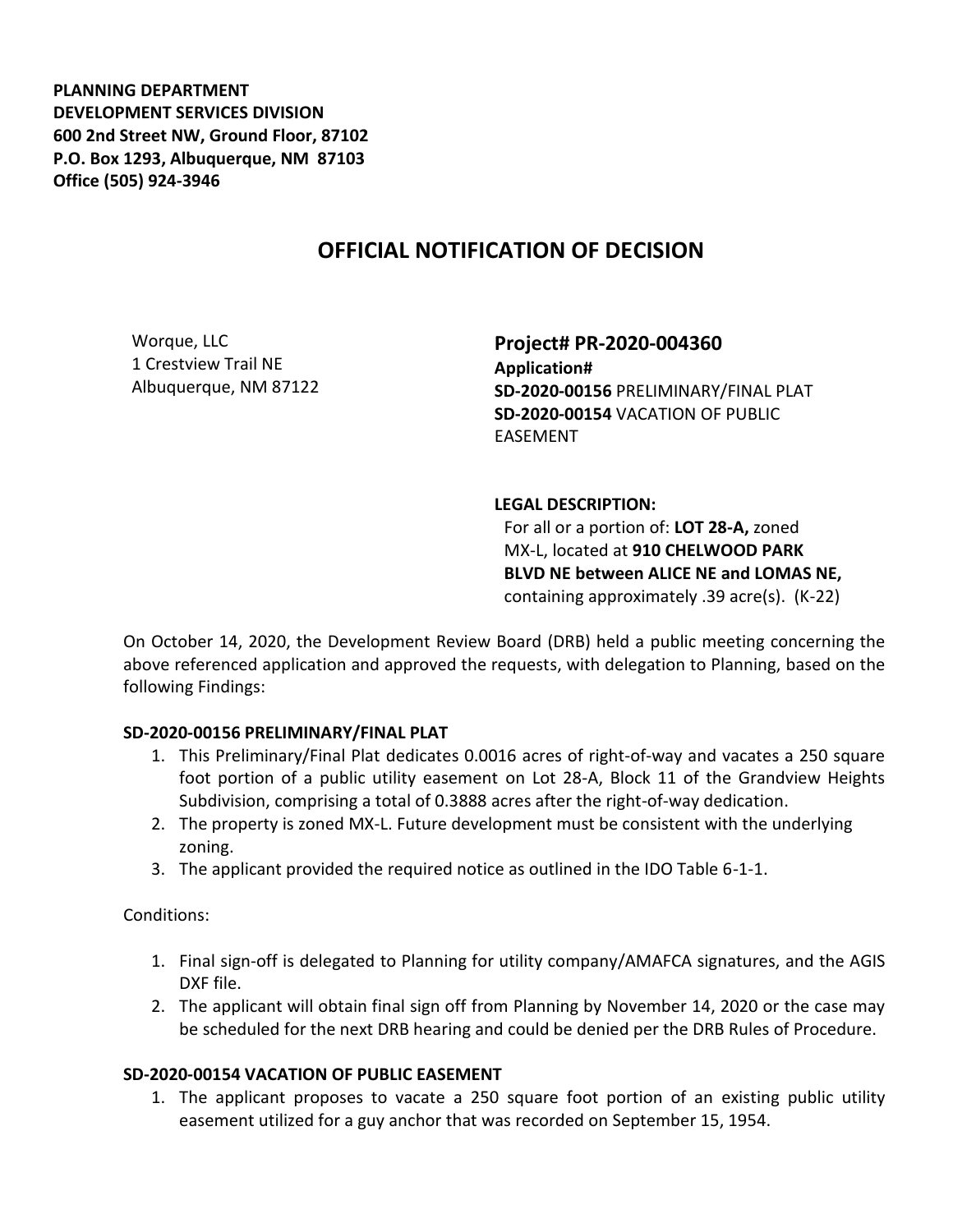**PLANNING DEPARTMENT DEVELOPMENT SERVICES DIVISION 600 2nd Street NW, Ground Floor, 87102 P.O. Box 1293, Albuquerque, NM 87103 Office (505) 924-3946** 

## **OFFICIAL NOTIFICATION OF DECISION**

Worque, LLC 1 Crestview Trail NE Albuquerque, NM 87122

**Project# PR-2020-004360 Application# SD-2020-00156** PRELIMINARY/FINAL PLAT **SD-2020-00154** VACATION OF PUBLIC EASEMENT

## **LEGAL DESCRIPTION:**

For all or a portion of: **LOT 28-A,** zoned MX-L, located at **910 CHELWOOD PARK BLVD NE between ALICE NE and LOMAS NE,**  containing approximately .39 acre(s). (K-22)

On October 14, 2020, the Development Review Board (DRB) held a public meeting concerning the above referenced application and approved the requests, with delegation to Planning, based on the following Findings:

## **SD-2020-00156 PRELIMINARY/FINAL PLAT**

- 1. This Preliminary/Final Plat dedicates 0.0016 acres of right-of-way and vacates a 250 square foot portion of a public utility easement on Lot 28-A, Block 11 of the Grandview Heights Subdivision, comprising a total of 0.3888 acres after the right-of-way dedication.
- 2. The property is zoned MX-L. Future development must be consistent with the underlying zoning.
- 3. The applicant provided the required notice as outlined in the IDO Table 6-1-1.

Conditions:

- 1. Final sign-off is delegated to Planning for utility company/AMAFCA signatures, and the AGIS DXF file.
- 2. The applicant will obtain final sign off from Planning by November 14, 2020 or the case may be scheduled for the next DRB hearing and could be denied per the DRB Rules of Procedure.

## **SD-2020-00154 VACATION OF PUBLIC EASEMENT**

1. The applicant proposes to vacate a 250 square foot portion of an existing public utility easement utilized for a guy anchor that was recorded on September 15, 1954.